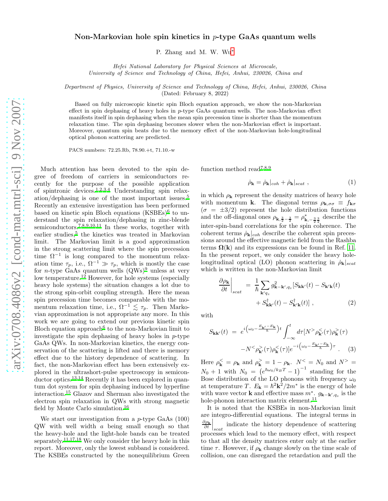## Non-Markovian hole spin kinetics in  $p$ -type GaAs quantum wells

P. Zhang and M. W. Wu[∗](#page-2-0)

Hefei National Laboratory for Physical Sciences at Microscale, University of Science and Technology of China, Hefei, Anhui, 230026, China and

Department of Physics, University of Science and Technology of China, Hefei, Anhui, 230026, China (Dated: February 8, 2022)

Based on fully microscopic kinetic spin Bloch equation approach, we show the non-Markovian effect in spin dephasing of heavy holes in p-type GaAs quantum wells. The non-Markovian effect manifests itself in spin dephasing when the mean spin precession time is shorter than the momentum relaxation time. The spin dephasing becomes slower when the non-Markovian effect is important. Moreover, quantum spin beats due to the memory effect of the non-Markovian hole-longitudinal optical phonon scattering are predicted.

PACS numbers: 72.25.Rb, 78.90.+t, 71.10.-w

Much attention has been devoted to the spin degree of freedom of carriers in semiconductors recently for the purpose of the possible application of spintronic devices[.](#page-2-1)1[,2](#page-2-2)[,3](#page-2-3)[,4](#page-2-4) Understanding spin relaxation/dephasing is one of the most important issues.[5](#page-2-5) Recently an extensive investigation has been performed based on kinetic spin Bloch equations  $(KSBEs)^6$  $(KSBEs)^6$  to understand the spin relaxation/dephasing in zinc-blende semiconductors[.](#page-2-7)<sup>7[,8](#page-2-8)[,9](#page-2-9)[,10](#page-2-10)[,11](#page-2-11)</sup> In these works, together with earlier studies,<sup>[5](#page-2-5)</sup> the kinetics was treated in Markovian limit. The Markovian limit is a good approximation in the strong scattering limit where the spin precession time  $\Omega^{-1}$  is long compared to the momentum relaxation time  $\tau_p$ , i.e.,  $\Omega^{-1} \gg \tau_p$ , which is mostly the case for *n*-type GaAs quantum wells  $(QWs)^9$  $(QWs)^9$  $(QWs)^9$  unless at very low temperature.<sup>[12](#page-2-12)</sup> However, for hole systems (especially heavy hole systems) the situation changes a lot due to the strong spin-orbit coupling strength. Here the mean spin precession time becomes comparable with the momentum relaxation time, i.e.,  $\Omega^{-1} \lesssim \tau_p$ . Then Markovian approximation is not appropriate any more. In this work we are going to extend our previous kinetic spin Bloch equation approach<sup>[6](#page-2-6)</sup> to the non-Markovian limit to investigate the spin dephasing of heavy holes in  $p$ -type GaAs QWs. In non-Markovian kinetics, the energy conservation of the scattering is lifted and there is memory effect due to the history dependence of scattering. In fact, the non-Markovian effect has been extensively explored in the ultrashort-pulse spectroscopy in semiconductor optics.[13](#page-2-13)[,14](#page-2-14) Recently it has been explored in quantum dot system for spin dephasing induced by hyperfine interaction.[15](#page-2-15) Glazov and Sherman also investigated the electron spin relaxation in QWs with strong magnetic field by Monte Carlo simulation.[16](#page-2-16)

We start our investigation from a p-type GaAs (100) QW with well width a being small enough so that the heavy-hole and the light-hole bands can be treated separately.<sup>[11](#page-2-11)[,17](#page-2-17)[,18](#page-2-18)</sup> We only consider the heavy hole in this report. Moreover, only the lowest subband is considered. The KSBEs constructed by the nonequilibrium Green function method read[7](#page-2-7)[,8](#page-2-8)[,9](#page-2-9)

$$
\dot{\rho}_{\mathbf{k}} = \dot{\rho}_{\mathbf{k}}|_{coh} + \dot{\rho}_{\mathbf{k}}|_{scat} , \qquad (1)
$$

in which  $\rho_{\mathbf{k}}$  represent the density matrices of heavy hole with momentum k. The diagonal terms  $\rho_{\mathbf{k},\sigma\sigma} \equiv f_{\mathbf{k}\sigma}$  $(\sigma = \pm 3/2)$  represent the hole distribution functions and the off-diagonal ones  $\rho_{\mathbf{k},\frac{3}{2}-\frac{3}{2}} = \rho_{\mathbf{k},-\frac{3}{2}\frac{3}{2}}^*$  describe the inter-spin-band correlations for the spin coherence. The coherent terms  $\dot{\rho}_{\mathbf{k}}|_{coh}$  describe the coherent spin precessions around the effective magnetic field from the Rashba terms  $\Omega(k)$  and its expressions can be found in Ref. [11](#page-2-11). In the present report, we only consider the heavy holelongitudinal optical (LO) phonon scattering in  $\dot{\rho}_{\mathbf{k}}|_{scat}$ which is written in the non-Markovian limit

$$
\frac{\partial \rho_{\mathbf{k}}}{\partial t}\Big|_{scat} = \frac{1}{\hbar} \sum_{\mathbf{k}'q_z} g_{\mathbf{k}-\mathbf{k}',q_z}^2 [S_{\mathbf{k}\mathbf{k}'}(t) - S_{\mathbf{k}'\mathbf{k}}(t) + S_{\mathbf{k}'\mathbf{k}}^{\dagger}(t) - S_{\mathbf{k}'\mathbf{k}}^{\dagger}(t)] ,
$$
\n(2)

with

$$
S_{\mathbf{k}\mathbf{k}'}(t) = e^{i\left(\omega_0 - \frac{E_{\mathbf{k}'} - E_{\mathbf{k}}}{\hbar}\right)t} \int_{-\infty}^t d\tau \left[N^> \rho_{\mathbf{k}'}^<(\tau)\rho_{\mathbf{k}}^> (\tau)\right] \n- N^< \rho_{\mathbf{k}'}^>(\tau)\rho_{\mathbf{k}}( \tau) \left[e^{-i\left(\omega_0 - \frac{E_{\mathbf{k}'} - E_{\mathbf{k}}}{\hbar}\right)\tau}\right]. \n\tag{3}
$$

Here  $\rho_{\mathbf{k}}^{\leq} = \rho_{\mathbf{k}}$  and  $\rho_{\mathbf{k}}^{\geq} = 1 - \rho_{\mathbf{k}}$ .  $N^{\leq} = N_0$  and  $N^{\geq} =$  $N_0 + 1$  with  $N_0 = (e^{\hbar \omega_0 / k_B T} - 1)^{-1}$  standing for the Bose distribution of the LO phonons with frequency  $\omega_0$ at temperature T.  $E_{\mathbf{k}} = \hbar^2 \mathbf{k}^2 / 2m^*$  is the energy of hole with wave vector **k** and effective mass  $m^*$ .  $g_{\mathbf{k}-\mathbf{k}'/g_z}$  is the hole-phonon interaction matrix element.  $^{\rm 11}$  $^{\rm 11}$  $^{\rm 11}$ 

It is noted that the KSBEs in non-Markovian limit are integro-differential equations. The integral terms in  $\frac{\partial \rho_{\mathbf{k}}}{\partial t}\Big|_{scat}$ indicate the history dependence of scattering processes which lead to the memory effect, with respect to that all the density matrices enter only at the earlier time  $\tau$ . However, if  $\rho_{\mathbf{k}}$  change slowly on the time scale of collision, one can disregard the retardation and pull the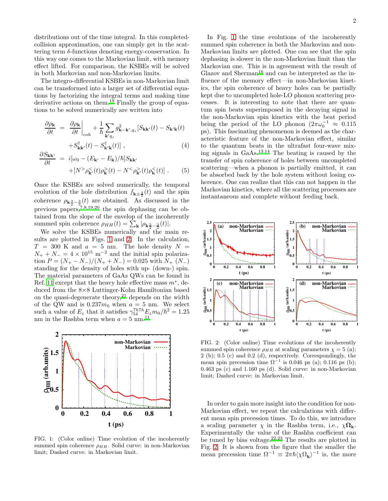distributions out of the time integral. In this completedcollision approximation, one can simply get in the scattering term δ-functions denoting energy-conservation. In this way one comes to the Markovian limit, with memory effect lifted. For comparison, the KSBEs will be solved in both Markovian and non-Markovian limits.

The integro-differential KSBEs in non-Markovian limit can be transformed into a larger set of differential equations by factorizing the integral terms and making time derivative actions on them.<sup>[19](#page-2-19)</sup> Finally the group of equations to be solved numerically are written into

$$
\frac{\partial \rho_{\mathbf{k}}}{\partial t} = \frac{\partial \rho_{\mathbf{k}}}{\partial t} \Big|_{coh} + \frac{1}{\hbar} \sum_{\mathbf{k}'q_z} g_{\mathbf{k} - \mathbf{k}',q_z}^2 \left[ S_{\mathbf{k}\mathbf{k}'}(t) - S_{\mathbf{k}'\mathbf{k}}(t) \right] + S_{\mathbf{k}'\mathbf{k}'}^\dagger(t) - S_{\mathbf{k}'\mathbf{k}}^\dagger(t) \Big| , \tag{4}
$$

$$
\frac{\partial S_{\mathbf{k}\mathbf{k}'}}{\partial t} = i[\omega_0 - (E_{\mathbf{k}'} - E_{\mathbf{k}})/\hbar] S_{\mathbf{k}\mathbf{k}'}
$$

$$
+ [N^> \rho_{\mathbf{k}'}^<(t)\rho_{\mathbf{k}}^>(t) - N^< \rho_{\mathbf{k}'}^>(t)\rho_{\mathbf{k}}^<(t)]. \qquad (5)
$$

Once the KSBEs are solved numerically, the temporal evolution of the hole distribution  $f_{\mathbf{k}\pm\frac{3}{2}}(t)$  and the spin coherence  $\rho_{\mathbf{k}\frac{3}{2}-\frac{3}{2}}(t)$  are obtained. As discussed in the previous papers,[7](#page-2-7)[,8](#page-2-8)[,19](#page-2-19)[,20](#page-2-20) the spin dephasing can be obtained from the slope of the envelop of the incoherently summed spin coherence  $\rho_{HH}(t) = \sum_{\mathbf{k}} |\rho_{\mathbf{k}\frac{3}{2}-\frac{3}{2}}(t)|.$ 

We solve the KSBEs numerically and the main results are plotted in Figs. [1](#page-1-0) and [2.](#page-1-1) In the calculation,  $T = 300$  K and  $a = 5$  nm. The hole density  $N =$  $N_+ + N_- = 4 \times 10^{15}$  m<sup>-2</sup> and the initial spin polarization  $P = (N_{+} - N_{-})/(N_{+} + N_{-}) = 0.025$  with  $N_{+} (N_{-})$ standing for the density of holes with up- (down-) spin. The material parameters of GaAs QWs can be found in Ref. [11](#page-2-11) except that the heavy hole effective mass  $m^*$ , deduced from the 8×8 Luttinger-Kohn Hamiltonian based on the quasi-degenerate theory, $21$  depends on the width of the QW and is  $0.237m_0$  when  $a = 5$  nm. We select such a value of  $E_z$  that it satisfies  $\gamma_{54}^{7h7h}E_z m_0/\hbar^2 = 1.25$ nm in the Rashba term when  $a = 5$  nm.<sup>[11](#page-2-11)</sup>



<span id="page-1-0"></span>FIG. 1: (Color online) Time evolution of the incoherently summed spin coherence  $\rho_{HH}$ . Solid curve: in non-Markovian limit; Dashed curve: in Markovian limit.

In Fig. [1](#page-1-0) the time evolutions of the incoherently summed spin coherence in both the Markovian and non-Markovian limits are plotted. One can see that the spin dephasing is slower in the non-Markovian limit than the Markovian one. This is in agreement with the result of Glazov and Sherman<sup>[16](#page-2-16)</sup> and can be interpreted as the influence of the memory effect—in non-Markovian kinetics, the spin coherence of heavy holes can be partially kept due to uncompleted hole-LO phonon scattering processes. It is interesting to note that there are quantum spin beats superimposed in the decaying signal in the non-Markovian spin kinetics with the beat period being the period of the LO phonon  $(2\pi\omega_0^{-1} \approx 0.115$ ps). This fascinating phenomenon is deemed as the characteristic feature of the non-Markovian effect, similar to the quantum beats in the ultrafast four-wave mixing signals in  $GaAs.<sup>13,14</sup>$  $GaAs.<sup>13,14</sup>$  $GaAs.<sup>13,14</sup>$  $GaAs.<sup>13,14</sup>$  The beating is caused by the transfer of spin coherence of holes between uncompleted scattering—when a phonon is partially emitted, it can be absorbed back by the hole system without losing coherence. One can realize that this can not happen in the Markovian kinetics, where all the scattering processes are instantaneous and complete without feeding back.



<span id="page-1-1"></span>FIG. 2: (Color online) Time evolutions of the incoherently summed spin coherence  $\rho_{HH}$  at scaling parameters  $\chi = 5$  (a); 2 (b); 0.5 (c) and 0.2 (d), respectively. Correspondingly, the mean spin precession time  $\Omega^{-1}$  is 0.046 ps (a); 0.116 ps (b); 0.463 ps (c) and 1.160 ps (d). Solid curve: in non-Markovian limit; Dashed curve: in Markovian limit.

In order to gain more insight into the condition for non-Markovian effect, we repeat the calculations with different mean spin precession times. To do this, we introduce a scaling parameter  $\chi$  in the Rashba term, i.e.,  $\chi \Omega_{\mathbf{k}}$ . Experimentally the value of the Rashba coefficient can be tuned by bias voltage.<sup>[22](#page-2-22)[,23](#page-2-23)</sup> The results are plotted in Fig. [2.](#page-1-1) It is shown from the figure that the smaller the mean precession time  $\Omega^{-1} \equiv 2\pi\hbar \langle \chi \Omega_{\mathbf{k}} \rangle^{-1}$  is, the more